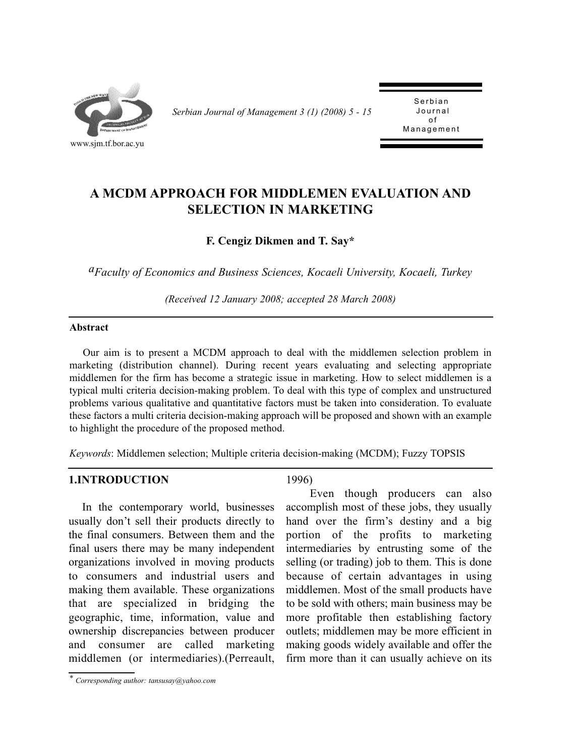

*Serbian Journal of Management 3 (1) (2008) 5 - 15* 

Serbian<br>Journal o f Management Management

# **A MCDM APPROACH FOR MIDDLEMEN EVALUATION AND SELECTION IN MARKETING**

**F. Cengiz Dikmen and T. Say\*** 

*aFaculty of Economics and Business Sciences, Kocaeli University, Kocaeli, Turkey*

*(Received 12 January 2008; accepted 28 March 2008)*

#### **Abstract**

Our aim is to present a MCDM approach to deal with the middlemen selection problem in marketing (distribution channel). During recent years evaluating and selecting appropriate middlemen for the firm has become a strategic issue in marketing. How to select middlemen is a typical multi criteria decision-making problem. To deal with this type of complex and unstructured problems various qualitative and quantitative factors must be taken into consideration. To evaluate these factors a multi criteria decision-making approach will be proposed and shown with an example to highlight the procedure of the proposed method.

*Keywords*: Middlemen selection; Multiple criteria decision-making (MCDM); Fuzzy TOPSIS

### **1.INTRODUCTION**

In the contemporary world, businesses usually don't sell their products directly to the final consumers. Between them and the final users there may be many independent organizations involved in moving products to consumers and industrial users and making them available. These organizations that are specialized in bridging the geographic, time, information, value and ownership discrepancies between producer and consumer are called marketing middlemen (or intermediaries).(Perreault, 1996)

Even though producers can also accomplish most of these jobs, they usually hand over the firm's destiny and a big portion of the profits to marketing intermediaries by entrusting some of the selling (or trading) job to them. This is done because of certain advantages in using middlemen. Most of the small products have to be sold with others; main business may be more profitable then establishing factory outlets; middlemen may be more efficient in making goods widely available and offer the firm more than it can usually achieve on its

*<sup>\*</sup> Corresponding author: tansusay@yahoo.com*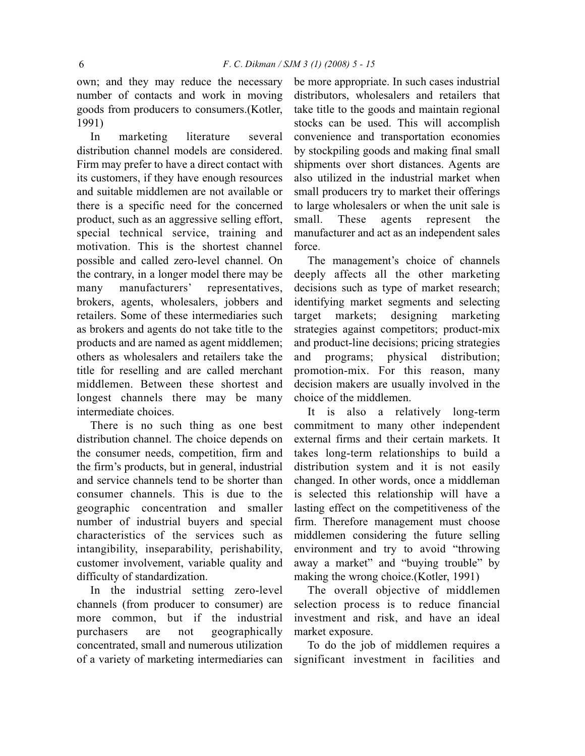own; and they may reduce the necessary number of contacts and work in moving goods from producers to consumers.(Kotler, 1991)

In marketing literature several distribution channel models are considered. Firm may prefer to have a direct contact with its customers, if they have enough resources and suitable middlemen are not available or there is a specific need for the concerned product, such as an aggressive selling effort, special technical service, training and motivation. This is the shortest channel possible and called zero-level channel. On the contrary, in a longer model there may be many manufacturers' representatives, brokers, agents, wholesalers, jobbers and retailers. Some of these intermediaries such as brokers and agents do not take title to the products and are named as agent middlemen; others as wholesalers and retailers take the title for reselling and are called merchant middlemen. Between these shortest and longest channels there may be many intermediate choices.

There is no such thing as one best distribution channel. The choice depends on the consumer needs, competition, firm and the firm's products, but in general, industrial and service channels tend to be shorter than consumer channels. This is due to the geographic concentration and smaller number of industrial buyers and special characteristics of the services such as intangibility, inseparability, perishability, customer involvement, variable quality and difficulty of standardization.

In the industrial setting zero-level channels (from producer to consumer) are more common, but if the industrial purchasers are not geographically concentrated, small and numerous utilization of a variety of marketing intermediaries can be more appropriate. In such cases industrial distributors, wholesalers and retailers that take title to the goods and maintain regional stocks can be used. This will accomplish convenience and transportation economies by stockpiling goods and making final small shipments over short distances. Agents are also utilized in the industrial market when small producers try to market their offerings to large wholesalers or when the unit sale is small. These agents represent the manufacturer and act as an independent sales force.

The management's choice of channels deeply affects all the other marketing decisions such as type of market research; identifying market segments and selecting target markets; designing marketing strategies against competitors; product-mix and product-line decisions; pricing strategies and programs; physical distribution; promotion-mix. For this reason, many decision makers are usually involved in the choice of the middlemen.

It is also a relatively long-term commitment to many other independent external firms and their certain markets. It takes long-term relationships to build a distribution system and it is not easily changed. In other words, once a middleman is selected this relationship will have a lasting effect on the competitiveness of the firm. Therefore management must choose middlemen considering the future selling environment and try to avoid "throwing away a market" and "buying trouble" by making the wrong choice.(Kotler, 1991)

The overall objective of middlemen selection process is to reduce financial investment and risk, and have an ideal market exposure.

To do the job of middlemen requires a significant investment in facilities and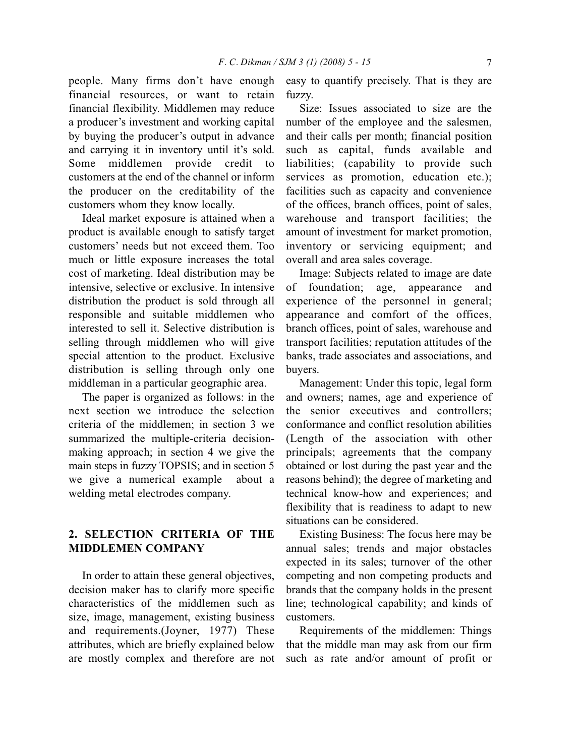people. Many firms don't have enough financial resources, or want to retain financial flexibility. Middlemen may reduce a producer's investment and working capital by buying the producer's output in advance and carrying it in inventory until it's sold. Some middlemen provide credit to customers at the end of the channel or inform the producer on the creditability of the customers whom they know locally.

Ideal market exposure is attained when a product is available enough to satisfy target customers' needs but not exceed them. Too much or little exposure increases the total cost of marketing. Ideal distribution may be intensive, selective or exclusive. In intensive distribution the product is sold through all responsible and suitable middlemen who interested to sell it. Selective distribution is selling through middlemen who will give special attention to the product. Exclusive distribution is selling through only one middleman in a particular geographic area.

The paper is organized as follows: in the next section we introduce the selection criteria of the middlemen; in section 3 we summarized the multiple-criteria decisionmaking approach; in section 4 we give the main steps in fuzzy TOPSIS; and in section 5 we give a numerical example about a welding metal electrodes company.

### **2. SELECTION CRITERIA OF THE MIDDLEMEN COMPANY**

In order to attain these general objectives, decision maker has to clarify more specific characteristics of the middlemen such as size, image, management, existing business and requirements.(Joyner, 1977) These attributes, which are briefly explained below are mostly complex and therefore are not easy to quantify precisely. That is they are fuzzy.

Size: Issues associated to size are the number of the employee and the salesmen, and their calls per month; financial position such as capital, funds available and liabilities; (capability to provide such services as promotion, education etc.); facilities such as capacity and convenience of the offices, branch offices, point of sales, warehouse and transport facilities; the amount of investment for market promotion, inventory or servicing equipment; and overall and area sales coverage.

Image: Subjects related to image are date of foundation; age, appearance and experience of the personnel in general; appearance and comfort of the offices, branch offices, point of sales, warehouse and transport facilities; reputation attitudes of the banks, trade associates and associations, and buyers.

Management: Under this topic, legal form and owners; names, age and experience of the senior executives and controllers; conformance and conflict resolution abilities (Length of the association with other principals; agreements that the company obtained or lost during the past year and the reasons behind); the degree of marketing and technical know-how and experiences; and flexibility that is readiness to adapt to new situations can be considered.

Existing Business: The focus here may be annual sales; trends and major obstacles expected in its sales; turnover of the other competing and non competing products and brands that the company holds in the present line; technological capability; and kinds of customers.

Requirements of the middlemen: Things that the middle man may ask from our firm such as rate and/or amount of profit or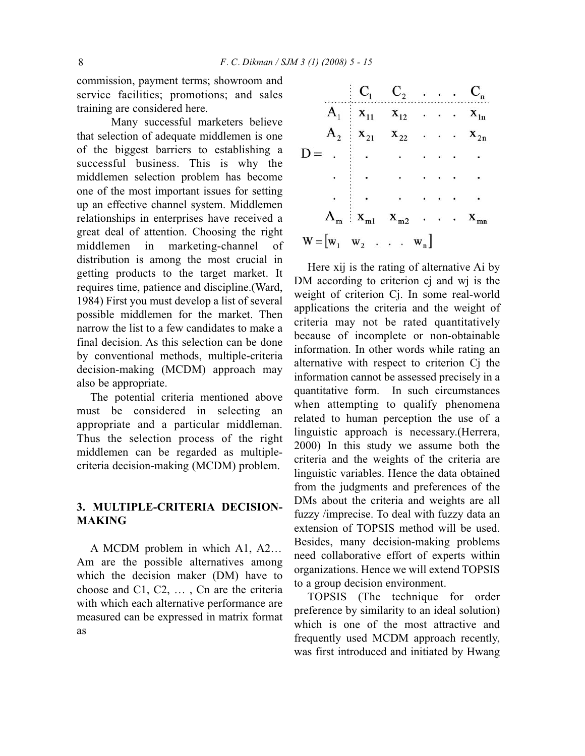commission, payment terms; showroom and service facilities; promotions; and sales training are considered here.

Many successful marketers believe that selection of adequate middlemen is one of the biggest barriers to establishing a successful business. This is why the middlemen selection problem has become one of the most important issues for setting up an effective channel system. Middlemen relationships in enterprises have received a great deal of attention. Choosing the right middlemen in marketing-channel of distribution is among the most crucial in getting products to the target market. It requires time, patience and discipline.(Ward, 1984) First you must develop a list of several possible middlemen for the market. Then narrow the list to a few candidates to make a final decision. As this selection can be done by conventional methods, multiple-criteria decision-making (MCDM) approach may also be appropriate.

The potential criteria mentioned above must be considered in selecting an appropriate and a particular middleman. Thus the selection process of the right middlemen can be regarded as multiplecriteria decision-making (MCDM) problem.

## **3. MULTIPLE-CRITERIA DECISION-MAKING**

A MCDM problem in which A1, A2… Am are the possible alternatives among which the decision maker (DM) have to choose and C1, C2, … , Cn are the criteria with which each alternative performance are measured can be expressed in matrix format as

|                                                             | $C_1 \quad C_2 \quad \ldots \quad C_n$                               |                                            |  |  |
|-------------------------------------------------------------|----------------------------------------------------------------------|--------------------------------------------|--|--|
|                                                             | $A_1 \t x_{11} \t x_{12} \t x_2 \t x_{1n}$                           |                                            |  |  |
|                                                             | $A_2$   $X_{21}$ $X_{22}$ $\ldots$ $X_{2n}$                          |                                            |  |  |
| $D =$ .                                                     | <b>Contract Contract</b>                                             |                                            |  |  |
|                                                             |                                                                      | $\mathbf{r}$ , $\mathbf{r}$ , $\mathbf{r}$ |  |  |
|                                                             |                                                                      |                                            |  |  |
|                                                             | $A_m$ $\mathbf{x}_{m1}$ $\mathbf{x}_{m2}$ $\cdots$ $\mathbf{x}_{mn}$ |                                            |  |  |
| $W = \begin{bmatrix} w_1 & w_2 & \dots & w_n \end{bmatrix}$ |                                                                      |                                            |  |  |

Here xij is the rating of alternative Ai by DM according to criterion cj and wj is the weight of criterion Cj. In some real-world applications the criteria and the weight of criteria may not be rated quantitatively because of incomplete or non-obtainable information. In other words while rating an alternative with respect to criterion Cj the information cannot be assessed precisely in a quantitative form. In such circumstances when attempting to qualify phenomena related to human perception the use of a linguistic approach is necessary.(Herrera, 2000) In this study we assume both the criteria and the weights of the criteria are linguistic variables. Hence the data obtained from the judgments and preferences of the DMs about the criteria and weights are all fuzzy /imprecise. To deal with fuzzy data an extension of TOPSIS method will be used. Besides, many decision-making problems need collaborative effort of experts within organizations. Hence we will extend TOPSIS to a group decision environment.

TOPSIS (The technique for order preference by similarity to an ideal solution) which is one of the most attractive and frequently used MCDM approach recently, was first introduced and initiated by Hwang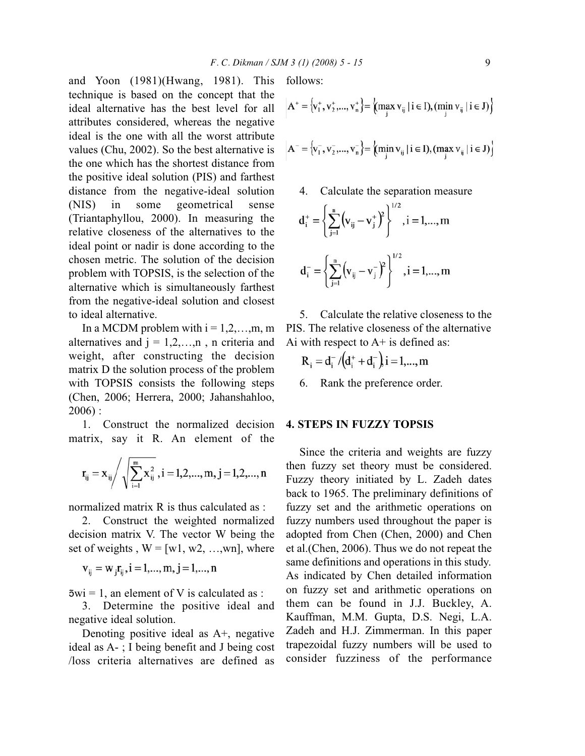and Yoon (1981)(Hwang, 1981). This technique is based on the concept that the ideal alternative has the best level for all attributes considered, whereas the negative ideal is the one with all the worst attribute values (Chu, 2002). So the best alternative is the one which has the shortest distance from the positive ideal solution (PIS) and farthest distance from the negative-ideal solution (NIS) in some geometrical sense (Triantaphyllou, 2000). In measuring the relative closeness of the alternatives to the ideal point or nadir is done according to the chosen metric. The solution of the decision problem with TOPSIS, is the selection of the alternative which is simultaneously farthest from the negative-ideal solution and closest to ideal alternative.

In a MCDM problem with  $i = 1, 2, \ldots, m$ , m alternatives and  $j = 1, 2, \ldots, n$ , n criteria and weight, after constructing the decision matrix D the solution process of the problem with TOPSIS consists the following steps (Chen, 2006; Herrera, 2000; Jahanshahloo, 2006) :

1. Construct the normalized decision matrix, say it R. An element of the

$$
r_{ij}=x_{ij}\Bigg/\sqrt{\sum_{i=1}^{m}x_{ij}^2}\; , i=1,2,...,m,\, j=1,2,...,n
$$

normalized matrix  $\bf{R}$  is thus calculated as  $\cdot$ 

2. Construct the weighted normalized decision matrix V. The vector W being the set of weights,  $W = [w1, w2, ..., wn]$ , where

$$
v_{ij} = w_{j}r_{ij}, i = 1,...,m, j = 1,...,n
$$

 $5wi = 1$ , an element of V is calculated as :

3. Determine the positive ideal and negative ideal solution.

Denoting positive ideal as A+, negative ideal as A- ; I being benefit and J being cost /loss criteria alternatives are defined as follows:

$$
A^+ = \{v_1^+, v_2^+, ..., v_n^+\} = \{(\max_j v_{ij} \mid i \in I), (\min_j v_{ij} \mid i \in J)\}
$$

$$
A^{-} = \{v_{1}^{-}, v_{2}^{-}, ..., v_{n}^{-}\} = \{(\min_{j} v_{ij} | i \in I), (\max_{j} v_{ij} | i \in J)\}
$$

4. Calculate the separation measure

$$
d_i^+ = \left\{ \sum_{j=1}^n \left( v_{ij} - v_j^+ \right)^2 \right\}^{1/2}, i = 1, ..., m
$$
  

$$
d_i^- = \left\{ \sum_{j=1}^n \left( v_{ij} - v_j^- \right)^2 \right\}^{1/2}, i = 1, ..., m
$$

5. Calculate the relative closeness to the PIS. The relative closeness of the alternative Ai with respect to  $A<sup>+</sup>$  is defined as:

$$
R_{i} = d_{i}^{-}/(d_{i}^{+} + d_{i}^{-})i = 1,...,m
$$

6. Rank the preference order.

#### **4. STEPS IN FUZZY TOPSIS**

Since the criteria and weights are fuzzy then fuzzy set theory must be considered. Fuzzy theory initiated by L. Zadeh dates back to 1965. The preliminary definitions of fuzzy set and the arithmetic operations on fuzzy numbers used throughout the paper is adopted from Chen (Chen, 2000) and Chen et al.(Chen, 2006). Thus we do not repeat the same definitions and operations in this study. As indicated by Chen detailed information on fuzzy set and arithmetic operations on them can be found in J.J. Buckley, A. Kauffman, M.M. Gupta, D.S. Negi, L.A. Zadeh and H.J. Zimmerman. In this paper trapezoidal fuzzy numbers will be used to consider fuzziness of the performance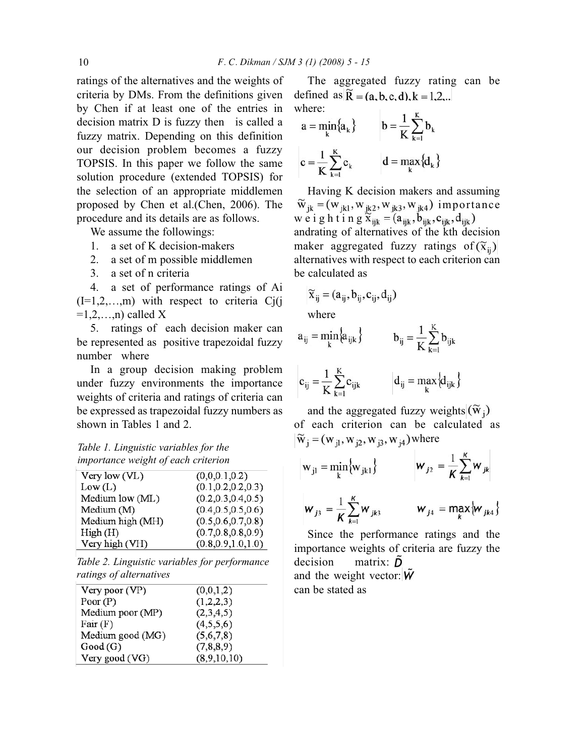ratings of the alternatives and the weights of criteria by DMs. From the definitions given by Chen if at least one of the entries in decision matrix D is fuzzy then is called a fuzzy matrix. Depending on this definition our decision problem becomes a fuzzy TOPSIS. In this paper we follow the same solution procedure (extended TOPSIS) for the selection of an appropriate middlemen proposed by Chen et al.(Chen, 2006). The procedure and its details are as follows.

We assume the followings:

- 1. a set of K decision-makers
- 2. a set of m possible middlemen
- 3. a set of n criteria

4. a set of performance ratings of Ai  $(I=1,2,...,m)$  with respect to criteria Cj(j  $=1,2,...,n$ ) called X

5. ratings of each decision maker can be represented as positive trapezoidal fuzzy number where

In a group decision making problem under fuzzy environments the importance weights of criteria and ratings of criteria can be expressed as trapezoidal fuzzy numbers as shown in Tables 1 and 2.

### *Table 1. Linguistic variables for the importance weight of each criterion*

| Very low $(VL)$  | (0,0,0.1,0.2)        |
|------------------|----------------------|
| Low (L)          | (0.1, 0.2, 0.2, 0.3) |
| Medium low (ML)  | (0.2, 0.3, 0.4, 0.5) |
| Medium (M)       | (0.4, 0.5, 0.5, 0.6) |
| Medium high (MH) | (0.5, 0.6, 0.7, 0.8) |
| High(H)          | (0.7, 0.8, 0.8, 0.9) |
| Very high (VH)   | (0.8, 0.9, 1.0, 1.0) |

*Table 2. Linguistic variables for performance ratings of alternatives*

| (0,0,1,2)   |
|-------------|
| (1,2,2,3)   |
| (2,3,4,5)   |
| (4,5,5,6)   |
| (5,6,7,8)   |
| (7,8,8,9)   |
| (8,9,10,10) |
|             |

The aggregated fuzzy rating can be defined as  $\widetilde{R} = (a, b, c, d), k = 1, 2, ...$ where:

$$
a = \min_{k} \{a_k\} \qquad b = \frac{1}{K} \sum_{k=1}^{K} b_k
$$

$$
c = \frac{1}{K} \sum_{k=1}^{K} c_k \qquad d = \max_{k} \{d_k\}
$$

Having K decision makers and assuming  $\widetilde{w}_{jk} = (w_{jk1}, w_{jk2}, w_{jk3}, w_{jk4})$  importance weighting  $\widetilde{x}_{ijk} = (a_{ijk}, b_{ijk}, c_{ijk}, d_{ijk})$ andrating of alternatives of the kth decision maker aggregated fuzzy ratings of  $(\tilde{x}_{ii})$ alternatives with respect to each criterion can be calculated as

$$
\widetilde{\mathbf{x}}_{ij} = (a_{ij}, b_{ij}, c_{ij}, d_{ij})
$$

where

$$
a_{ij} = \min_{k} \{a_{ijk}\} \qquad b_{ij} = \frac{1}{K} \sum_{k=1}^{K} b_{ijk}
$$

$$
\mathbf{c}_{ij} = \frac{1}{K} \sum_{k=1}^{K} \mathbf{c}_{ijk} \qquad \qquad \mathbf{d}_{ij} = \max_{k} \left\{ \mathbf{d}_{ijk} \right\}
$$

and the aggregated fuzzy weights  $(\widetilde{w}_i)$ of each criterion can be calculated as  $\widetilde{w}_i = (w_{i1}, w_{i2}, w_{i3}, w_{i4})$  where

$$
w_{j1} = min_{k} \{w_{jk1}\}\n\qquad\nw_{j2} = \frac{1}{K} \sum_{k=1}^{K} w_{jk1}
$$
\n $w_{j3} = \frac{1}{K} \sum_{k=1}^{K} w_{jk2}$ \n $w_{j4} = max_{k} \{w_{jk4}\}\n\qquad\nw_{jk4}$ 

Since the performance ratings and the importance weights of criteria are fuzzy the decision matrix:  $\tilde{D}$ and the weight vector:  $W$ 

can be stated as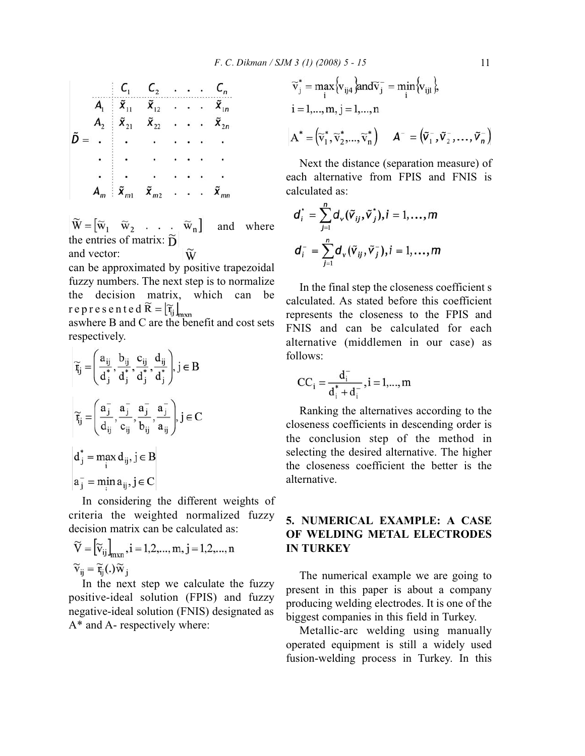$$
\tilde{D} = \n\begin{bmatrix}\nC_1 & C_2 & \ldots & C_n \\
\tilde{x}_{11} & \tilde{x}_{12} & \ldots & \tilde{x}_{1n} \\
\tilde{x}_{21} & \tilde{x}_{22} & \ldots & \tilde{x}_{2n} \\
\vdots & \vdots & \ddots & \vdots \\
\tilde{x}_{m1} & \tilde{x}_{m2} & \ldots & \tilde{x}_{mn}\n\end{bmatrix}
$$

 $\widetilde{W} = [\widetilde{w}_1 \ \widetilde{w}_2 \ \ldots \ \widetilde{w}_n]$ and where the entries of matrix:  $\tilde{D}$ and vector: W

can be approximated by positive trapezoidal fuzzy numbers. The next step is to normalize the decision matrix, which can be represented  $\widetilde{R} = [\widetilde{r}_{ij}]_{m \times n}$ 

aswhere B and C are the benefit and cost sets respectively.

$$
\widetilde{r}_{ij} = \left(\frac{a_{ij}}{d_j^*}, \frac{b_{ij}}{d_j^*}, \frac{c_{ij}}{d_j^*}, \frac{d_{ij}}{d_j^*}\right), j \in B
$$
\n
$$
\widetilde{r}_{ij} = \left(\frac{a_j^-}{d_{ij}}, \frac{a_j^-}{c_{ij}}, \frac{a_j^-}{b_{ij}}, \frac{a_j^-}{a_{ij}}\right), j \in C
$$
\n
$$
d_j^* = \max_i d_{ij}, j \in B
$$
\n
$$
a_j^- = \min_i a_{ij}, j \in C
$$

In considering the different weights of criteria the weighted normalized fuzzy decision matrix can be calculated as:

$$
\widetilde{\mathbf{V}} = \left[ \widetilde{\mathbf{v}}_{ij} \right]_{m \times n}, i = 1, 2, ..., m, j = 1, 2, ..., n
$$
  

$$
\widetilde{\mathbf{v}}_{ij} = \widetilde{\mathbf{r}}_{ij}(.)\widetilde{\mathbf{w}}_{j}
$$

In the next step we calculate the fuzzy positive-ideal solution (FPIS) and fuzzy negative-ideal solution (FNIS) designated as A\* and A- respectively where:

$$
\widetilde{v}_j^* = \max_i \{ v_{ij4} \} \text{and} \widetilde{v}_j^- = \min_i \{ v_{ij1} \},
$$
  
\n
$$
i = 1,..., m, j = 1,..., n
$$
  
\n
$$
A^* = (\widetilde{v}_1^*, \widetilde{v}_2^*, ..., \widetilde{v}_n^*) \qquad A^- = (\widetilde{v}_1^-, \widetilde{v}_2^-, ..., \widetilde{v}_n^-)
$$

Next the distance (separation measure) of each alternative from FPIS and FNIS is calculated as:

$$
d_i^{\dagger} = \sum_{j=1}^n d_{\mathbf{v}}(\tilde{\mathbf{v}}_{ij}, \tilde{\mathbf{v}}_j^{\dagger}), i = 1, \dots, m
$$
  

$$
d_i^- = \sum_{j=1}^n d_{\mathbf{v}}(\tilde{\mathbf{v}}_{ij}, \tilde{\mathbf{v}}_j^-), i = 1, \dots, m
$$

In the final step the closeness coefficient s calculated. As stated before this coefficient represents the closeness to the FPIS and FNIS and can be calculated for each alternative (middlemen in our case) as follows:

$$
CC_i = \frac{d_i^-}{d_i^* + d_i^-}, i = 1,..., m
$$

Ranking the alternatives according to the closeness coefficients in descending order is the conclusion step of the method in selecting the desired alternative. The higher the closeness coefficient the better is the alternative.

## **5. NUMERICAL EXAMPLE: A CASE OF WELDING METAL ELECTRODES IN TURKEY**

The numerical example we are going to present in this paper is about a company producing welding electrodes. It is one of the biggest companies in this field in Turkey.

Metallic-arc welding using manually operated equipment is still a widely used fusion-welding process in Turkey. In this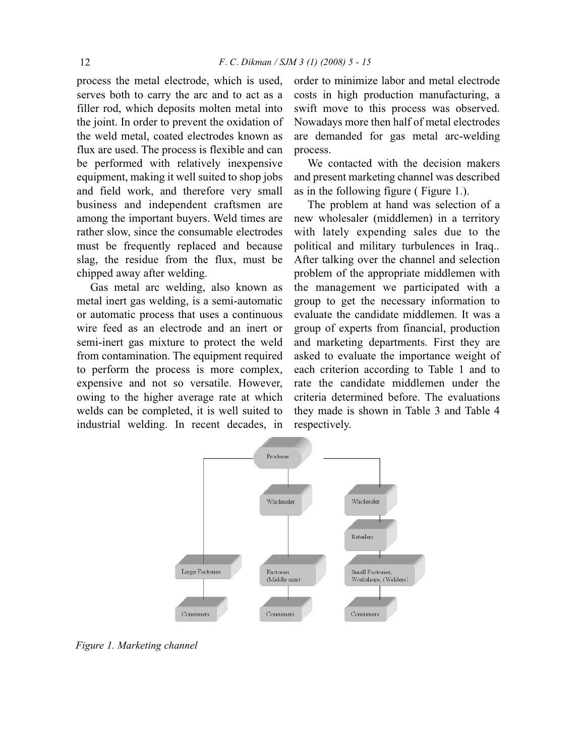process the metal electrode, which is used, serves both to carry the arc and to act as a filler rod, which deposits molten metal into the joint. In order to prevent the oxidation of the weld metal, coated electrodes known as flux are used. The process is flexible and can be performed with relatively inexpensive equipment, making it well suited to shop jobs and field work, and therefore very small business and independent craftsmen are among the important buyers. Weld times are rather slow, since the consumable electrodes must be frequently replaced and because slag, the residue from the flux, must be chipped away after welding.

Gas metal arc welding, also known as metal inert gas welding, is a semi-automatic or automatic process that uses a continuous wire feed as an electrode and an inert or semi-inert gas mixture to protect the weld from contamination. The equipment required to perform the process is more complex, expensive and not so versatile. However, owing to the higher average rate at which welds can be completed, it is well suited to industrial welding. In recent decades, in

order to minimize labor and metal electrode costs in high production manufacturing, a swift move to this process was observed. Nowadays more then half of metal electrodes are demanded for gas metal arc-welding process.

We contacted with the decision makers and present marketing channel was described as in the following figure ( Figure 1.).

The problem at hand was selection of a new wholesaler (middlemen) in a territory with lately expending sales due to the political and military turbulences in Iraq.. After talking over the channel and selection problem of the appropriate middlemen with the management we participated with a group to get the necessary information to evaluate the candidate middlemen. It was a group of experts from financial, production and marketing departments. First they are asked to evaluate the importance weight of each criterion according to Table 1 and to rate the candidate middlemen under the criteria determined before. The evaluations they made is shown in Table 3 and Table 4 respectively.



*Figure 1. Marketing channel*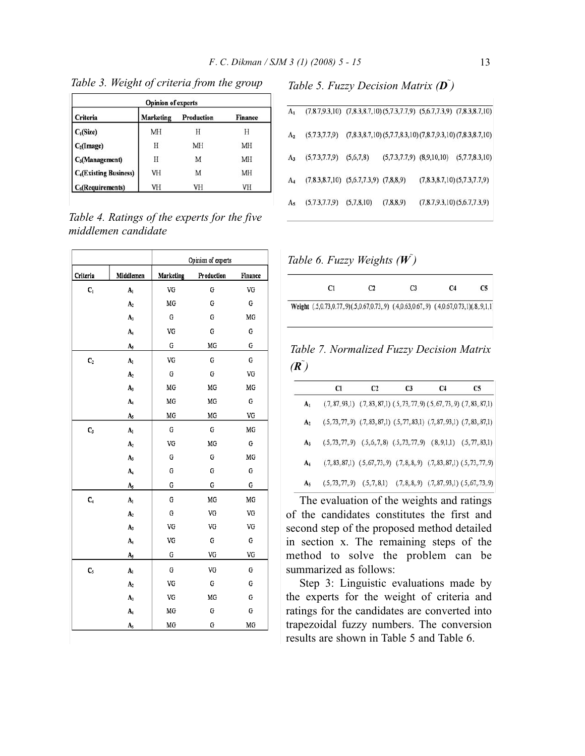| <b>Opinion of experts</b>               |                  |            |                |  |  |
|-----------------------------------------|------------------|------------|----------------|--|--|
| Criteria                                | <b>Marketing</b> | Production | <b>Finance</b> |  |  |
|                                         | MH               |            |                |  |  |
| $C_1(Size)$<br>$C_2(Image)$             | Н                | MH         | MH             |  |  |
| C <sub>3</sub> (Management)             | Н                | M          | MH             |  |  |
| <b>C<sub>4</sub>(Existing Business)</b> | VH               | M          | MH             |  |  |
| C <sub>5</sub> (Required)               | VH               | VH         | VH             |  |  |

*Table 3. Weight of criteria from the group*

| Table 4. Ratings of the experts for the five |  |  |  |
|----------------------------------------------|--|--|--|
| middlemen candidate                          |  |  |  |

|                |                         | Opinion of experts |            |          |  |
|----------------|-------------------------|--------------------|------------|----------|--|
| Criteria       | Middlemen               | Marketing          | Production | Finance  |  |
| $\mathsf{C}_1$ | A <sub>1</sub>          | VG                 | G          | VG       |  |
|                | $\mathbf{A}_2$          | MG                 | G          | G        |  |
|                | $A_3$                   | ${\bf G}$          | G          | MG       |  |
|                | $A_4$                   | VG                 | G          | G        |  |
|                | A,                      | ${\bf G}$          | MG         | G        |  |
| $\mathbf{C}_2$ | A <sub>1</sub>          | VG                 | G          | G        |  |
|                | A <sub>2</sub>          | $\mathbf G$        | G          | VG       |  |
|                | $A_3$                   | MG                 | MG         | MG       |  |
|                | A,                      | MG                 | MG         | G        |  |
|                | $\mathbf{A}_5$          | MG                 | MG         | VG       |  |
| $C_3$          | A <sub>1</sub>          | ${\bf G}$          | G          | MG       |  |
|                | A <sub>2</sub>          | VG                 | MG         | G        |  |
|                | $A_3$                   | G                  | G          | $\rm MG$ |  |
|                | $\mathbf{A}_4$          | G                  | G          | G        |  |
|                | A,                      | G                  | ${\bf G}$  | G        |  |
| C <sub>4</sub> | $\mathbf{A}_\mathrm{l}$ | G                  | MG         | MG       |  |
|                | A <sub>2</sub>          | G                  | VG         | VG       |  |
|                | $A_3$                   | VG                 | VG         | VG       |  |
|                | A <sub>4</sub>          | VG                 | G          | G        |  |
|                | $A_{5}$                 | G                  | VG         | VG       |  |
| $C_5$          | A <sub>1</sub>          | ${\bf G}$          | VG         | G        |  |
|                | $\mathbf{A}_2$          | VG                 | G          | G        |  |
|                | $A_3$                   | VG                 | MG         | G        |  |
|                | A,                      | MG                 | G          | G        |  |
|                | A,                      | MG                 | G          | MG       |  |

*Table 5. Fuzzy Decision Matrix (D<sup>~</sup> )*

| A <sub>1</sub> |                                              |            |              | $(7,8.7,9.3,10)$ $(7,8.3,8.7,10)$ $(5,7.3,7.7,9)$ $(5,6.7,7.3,9)$ $(7,8.3,8.7,10)$ |
|----------------|----------------------------------------------|------------|--------------|------------------------------------------------------------------------------------|
| A <sub>2</sub> | (5,7.3,7.7,9)                                |            |              | $(7,8.3,8.7,10)$ $(5,7.7,8.3,10)$ $(7,8.7,9.3,10)$ $(7,8.3,8.7,10)$                |
| $A_3$          | (5,7.3,7.7,9)                                | (5,6,7,8)  |              | $(5,7.3,7.7,9)$ $(8,9,10,10)$ $(5,7.7,8.3,10)$                                     |
| $A_4$          | $(7,8.3,8.7,10)$ $(5,6.7,7.3,9)$ $(7,8,8,9)$ |            |              | (7,8.3,8.7,10)(5,7.3,7.7,9)                                                        |
| $A_{5}$        | (5,7.3,7.7,9)                                | (5,7,8,10) | (7, 8, 8, 9) | (7, 8.7, 9.3, 10) (5, 6.7, 7.3, 9)                                                 |
|                |                                              |            |              |                                                                                    |

*Table 6. Fuzzy Weights (W<sup>~</sup> )*

| C <sub>1</sub> | C <sub>2</sub>                                                                          | C <sub>3</sub> | C4 | C5 |
|----------------|-----------------------------------------------------------------------------------------|----------------|----|----|
|                | Weight (.5,0.73,0.77,.9)(.5,0.67,0.73,.9) (.4,0.63,0.67,.9) (.4,0.67,0.73,1)(.8,.9,1,1) |                |    |    |

*Table 7. Normalized Fuzzy Decision Matrix*  $(\tilde{\mathbf{R}})$ 

|                | C1                                                                                        | C <sub>2</sub>                                                                            | C <sub>3</sub> | C <sub>4</sub> | C <sub>5</sub> |
|----------------|-------------------------------------------------------------------------------------------|-------------------------------------------------------------------------------------------|----------------|----------------|----------------|
| $A_1$          |                                                                                           | $(.7, 87, 93, 1)$ $(.7, 83, 87, 1)$ $(.5, 73, 77, 9)$ $(.5, 67, 73, 9)$ $(.7, 83, 87, 1)$ |                |                |                |
| A <sub>2</sub> | $(.5, 73, 77, 9)$ $(.7, 83, 87, 1)$ $(.5, 77, 83, 1)$ $(.7, 87, 93, 1)$ $(.7, 83, 87, 1)$ |                                                                                           |                |                |                |
| $A_3$          | $(.5, 73, 77, 9)$ $(.5, 6, 7, 8)$ $(.5, 73, 77, 9)$ $(.8, 9, 1, 1)$ $(.5, 77, 83, 1)$     |                                                                                           |                |                |                |
| A4             |                                                                                           | $(.7, 83, 87, 1)$ $(.5, 67, 73, 9)$ $(.7, 8, 8, 9)$ $(.7, 83, 87, 1)$ $(.5, 73, 77, 9)$   |                |                |                |
| A <sub>5</sub> | $(.5, 73, 77, 9)$ $(.5, 7, 8, 1)$ $(.7, 8, 8, 9)$ $(.7, 87, 93, 1)$ $(.5, 67, 73, 9)$     |                                                                                           |                |                |                |

The evaluation of the weights and ratings of the candidates constitutes the first and second step of the proposed method detailed in section x. The remaining steps of the method to solve the problem can be summarized as follows:

Step 3: Linguistic evaluations made by the experts for the weight of criteria and ratings for the candidates are converted into trapezoidal fuzzy numbers. The conversion results are shown in Table 5 and Table 6.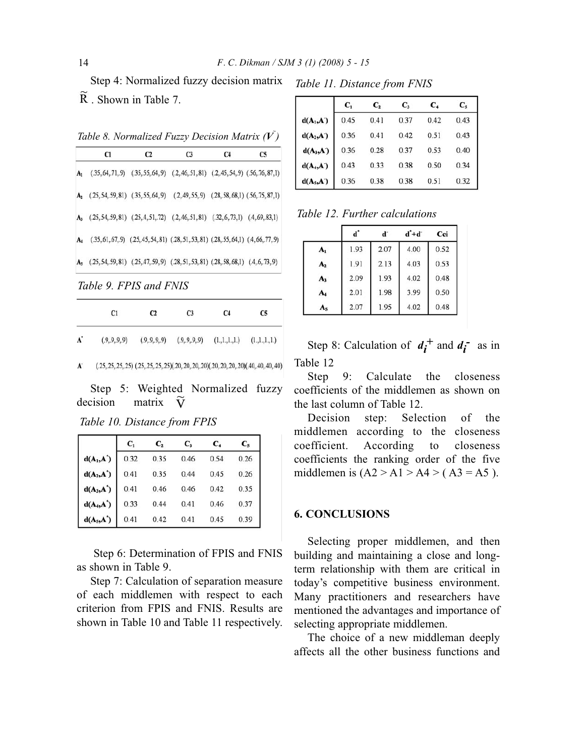Step 4: Normalized fuzzy decision matrix . Shown in Table 7.

Table 8. Normalized Fuzzy Decision Matrix ( $V$ )

|                | C1                                                                                              | C <sub>2</sub> | C <sub>3</sub>                                                                           | C <sub>4</sub> | C <sub>5</sub> |
|----------------|-------------------------------------------------------------------------------------------------|----------------|------------------------------------------------------------------------------------------|----------------|----------------|
| A <sub>1</sub> |                                                                                                 |                | $(35, 64, 71, 9)$ $(35, 55, 64, 9)$ $(2, 46, 51, 81)$ $(2, 45, 54, 9)$ $(56, 76, 87, 1)$ |                |                |
|                | $A_2$ (25, 54, 59, 81) (35, 55, 64, 9) (2, 49, 55, 9) (28, 58, 68, 1) (56, 75, 87, 1)           |                |                                                                                          |                |                |
|                | $A_3$ (.25, 54, 59, 81) (.25, 4, 51, 72) (.2, 46, 51, 81) (.32, 6, 73, 1) (.4, 69, 83, 1)       |                |                                                                                          |                |                |
|                | A <sub>4</sub> (35, 61, 67, 9) (25, 45, 54, 81) (28, 51, 53, 81) (28, 55, 64, 1) (4, 66, 77, 9) |                |                                                                                          |                |                |
|                | $A_5$ (25, 54, 59, 81) (25, 47, 59, 9) (28, 51, 53, 81) (28, 58, 68, 1) (4, 6, 73, 9)           |                |                                                                                          |                |                |
|                | Table 9. FPIS and FNIS                                                                          |                |                                                                                          |                |                |
|                | C <sub>1</sub>                                                                                  | C2             | C <sub>3</sub>                                                                           | C4             | C5             |

| A <sup>*</sup> | (.9, .9, .9, .9)<br>and the contract of the contract of |  | $(0.9, 9, 9, 9)$ $(0.9, 9, 9, 9)$ $(1.1, 1.1, 1)$ $(1.1, 1.1, 1)$ |  |
|----------------|---------------------------------------------------------|--|-------------------------------------------------------------------|--|
|                |                                                         |  |                                                                   |  |

 $(.25, 25, 25, 25)$   $(.25, 25, 25, 25)(.20, 20, 20, 20)(.20, 20, 20, 20)(.40, 40, 40, 40)$ 

Step 5: Weighted Normalized fuzzy decision matrix  $\widetilde{\mathbf{V}}$ 

*Table 10. Distance from FPIS* 

|                | $\mathbf{C}_1$ | C2   | $C_{3}$ | C4   | $C_5$ |
|----------------|----------------|------|---------|------|-------|
| $d(A_1,A^{'})$ | 0.32           | 0.35 | 0.46    | 0.54 | 0.26  |
| $d(A_2,A')$    | 0.41           | 0.35 | 0.44    | 0.45 | 0.26  |
| $d(A_3, A')$   | 0.41           | 0.46 | 0.46    | 0.42 | 0.35  |
| $d(A_4, A')$   | 0.33           | 0.44 | 0.41    | 0.46 | 0.37  |
| $d(A_5, A')$   | 0.41           | 0.42 | 0.41    | 0.45 | 0.39  |

Step 6: Determination of FPIS and FNIS as shown in Table 9.

Step 7: Calculation of separation measure of each middlemen with respect to each criterion from FPIS and FNIS. Results are shown in Table 10 and Table 11 respectively.

*Table 11. Distance from FNIS*

|             | $C_{1}$ | $C_{2}$ | $C_{3}$ | $C_{4}$ | $C_{5}$ |
|-------------|---------|---------|---------|---------|---------|
| $d(A_1,A')$ | 0.45    | 0.41    | 0.37    | 0.42    | 0.43    |
| $d(A_2,A)$  | 0.36    | 0.41    | 0.42    | 0.51    | 0.43    |
| $d(A_3,A)$  | 0.36    | 0.28    | 0.37    | 0.53    | 0.40    |
| $d(A_4,A)$  | 0.43    | 0.33    | 0.38    | 0.50    | 0.34    |
| $d(A_5,A')$ | 0.36    | 0.38    | 0.38    | 0.51    | 0.32    |

*Table 12. Further calculations*

|                | ď    |      | $d^+d^-$ | Cci  |
|----------------|------|------|----------|------|
| A <sub>1</sub> | 1.93 | 2.07 | 4.00     | 0.52 |
| A <sub>2</sub> | 1.91 | 2.13 | 4.03     | 0.53 |
| $A_3$          | 2.09 | 1.93 | 4.02     | 0.48 |
| A <sub>4</sub> | 2.01 | 1.98 | 3.99     | 0.50 |
| A <sub>5</sub> | 2.07 | 1.95 | 4.02     | 0.48 |

Step 8: Calculation of  $d_i^+$  and  $d_i^-$  as in Table 12

Step 9: Calculate the closeness coefficients of the middlemen as shown on the last column of Table 12.

Decision step: Selection of the middlemen according to the closeness coefficient. According to closeness coefficients the ranking order of the five middlemen is  $(A2 > A1 > A4 > (A3 = A5)$ .

#### **6. CONCLUSIONS**

Selecting proper middlemen, and then building and maintaining a close and longterm relationship with them are critical in today's competitive business environment. Many practitioners and researchers have mentioned the advantages and importance of selecting appropriate middlemen.

The choice of a new middleman deeply affects all the other business functions and